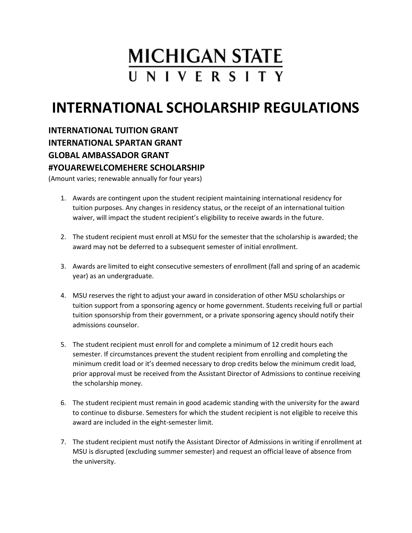## **MICHIGAN STATE** UNIVERSITY

## **INTERNATIONAL SCHOLARSHIP REGULATIONS**

**INTERNATIONAL TUITION GRANT INTERNATIONAL SPARTAN GRANT GLOBAL AMBASSADOR GRANT #YOUAREWELCOMEHERE SCHOLARSHIP**

(Amount varies; renewable annually for four years)

- 1. Awards are contingent upon the student recipient maintaining international residency for tuition purposes. Any changes in residency status, or the receipt of an international tuition waiver, will impact the student recipient's eligibility to receive awards in the future.
- 2. The student recipient must enroll at MSU for the semester that the scholarship is awarded; the award may not be deferred to a subsequent semester of initial enrollment.
- 3. Awards are limited to eight consecutive semesters of enrollment (fall and spring of an academic year) as an undergraduate.
- 4. MSU reserves the right to adjust your award in consideration of other MSU scholarships or tuition support from a sponsoring agency or home government. Students receiving full or partial tuition sponsorship from their government, or a private sponsoring agency should notify their admissions counselor.
- 5. The student recipient must enroll for and complete a minimum of 12 credit hours each semester. If circumstances prevent the student recipient from enrolling and completing the minimum credit load or it's deemed necessary to drop credits below the minimum credit load, prior approval must be received from the Assistant Director of Admissions to continue receiving the scholarship money.
- 6. The student recipient must remain in good academic standing with the university for the award to continue to disburse. Semesters for which the student recipient is not eligible to receive this award are included in the eight-semester limit.
- 7. The student recipient must notify the Assistant Director of Admissions in writing if enrollment at MSU is disrupted (excluding summer semester) and request an official leave of absence from the university.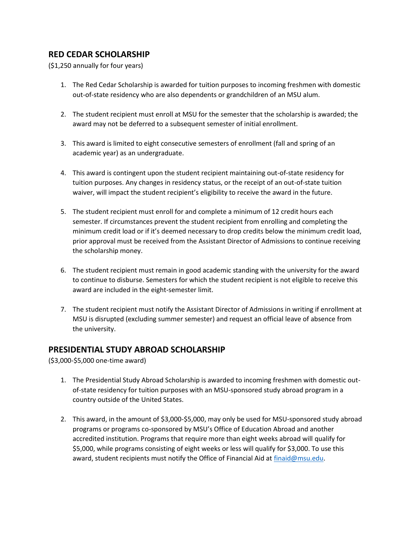## **RED CEDAR SCHOLARSHIP**

(\$1,250 annually for four years)

- 1. The Red Cedar Scholarship is awarded for tuition purposes to incoming freshmen with domestic out-of-state residency who are also dependents or grandchildren of an MSU alum.
- 2. The student recipient must enroll at MSU for the semester that the scholarship is awarded; the award may not be deferred to a subsequent semester of initial enrollment.
- 3. This award is limited to eight consecutive semesters of enrollment (fall and spring of an academic year) as an undergraduate.
- 4. This award is contingent upon the student recipient maintaining out-of-state residency for tuition purposes. Any changes in residency status, or the receipt of an out-of-state tuition waiver, will impact the student recipient's eligibility to receive the award in the future.
- 5. The student recipient must enroll for and complete a minimum of 12 credit hours each semester. If circumstances prevent the student recipient from enrolling and completing the minimum credit load or if it's deemed necessary to drop credits below the minimum credit load, prior approval must be received from the Assistant Director of Admissions to continue receiving the scholarship money.
- 6. The student recipient must remain in good academic standing with the university for the award to continue to disburse. Semesters for which the student recipient is not eligible to receive this award are included in the eight-semester limit.
- 7. The student recipient must notify the Assistant Director of Admissions in writing if enrollment at MSU is disrupted (excluding summer semester) and request an official leave of absence from the university.

## **PRESIDENTIAL STUDY ABROAD SCHOLARSHIP**

(\$3,000-\$5,000 one-time award)

- 1. The Presidential Study Abroad Scholarship is awarded to incoming freshmen with domestic outof-state residency for tuition purposes with an MSU-sponsored study abroad program in a country outside of the United States.
- 2. This award, in the amount of \$3,000-\$5,000, may only be used for MSU-sponsored study abroad programs or programs co-sponsored by MSU's Office of Education Abroad and another accredited institution. Programs that require more than eight weeks abroad will qualify for \$5,000, while programs consisting of eight weeks or less will qualify for \$3,000. To use this award, student recipients must notify the Office of Financial Aid at [finaid@msu.edu.](mailto:finaid@msu.edu)